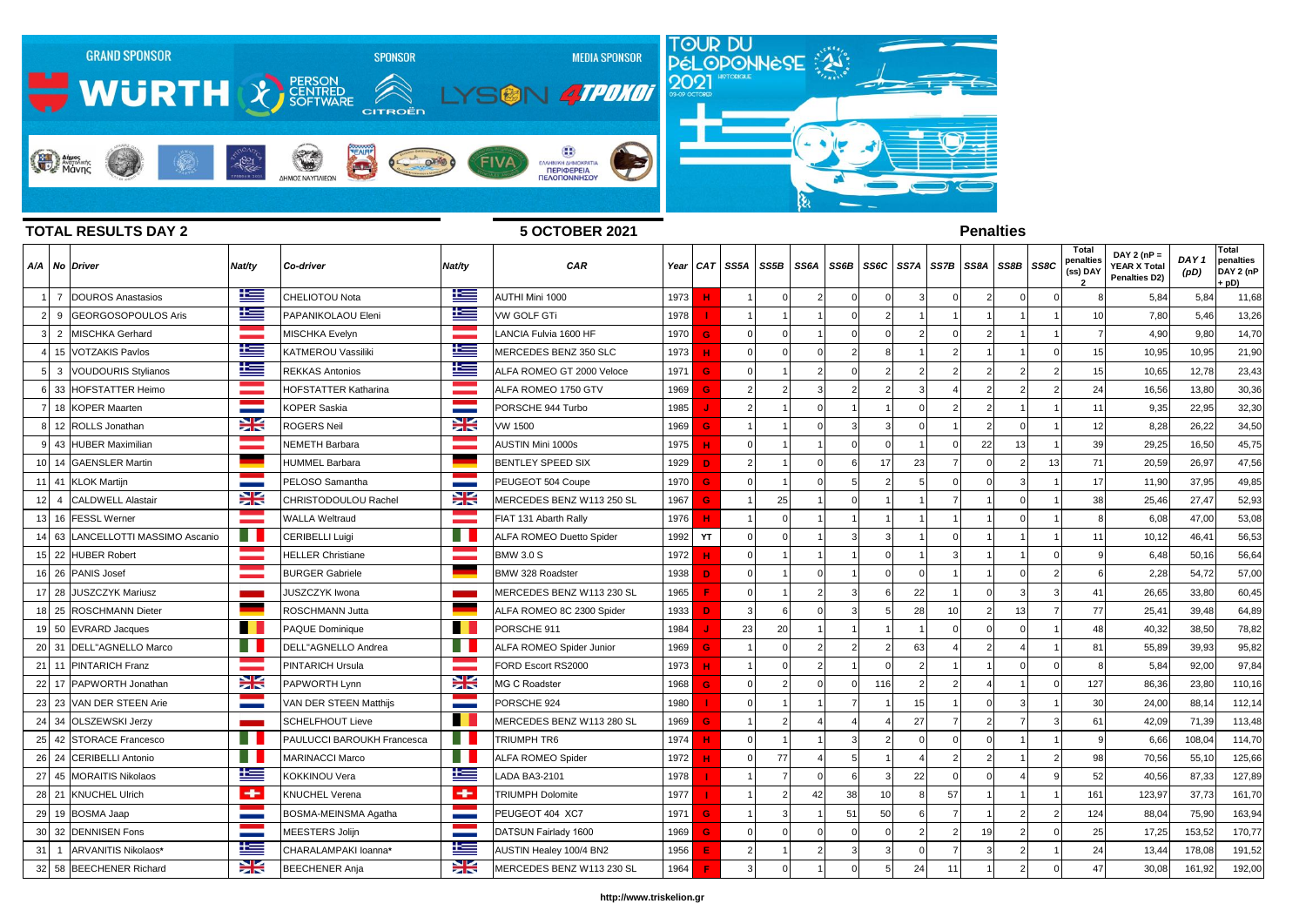

## **TOTAL RESULTS DAY 2 5 OCTOBER 2021**

## **Penalties**

|    |                | A/A No Driver               | Nat/ty       | Co-driver                   | Nat/ty                   | CAR                       | Year |          | CAT SS5A | SS5B | SS6A           | SS6B     |                | SS6C SS7A     | SS7B | SS8A           | SS8B SS8C     |    | Total<br>penalties<br>(ss) DAY | DAY 2 ( $nP =$<br>YEAR X Total<br>Penalties D2) | DAY <sub>1</sub><br>(pD) | Total<br>penalties<br>DAY 2 (nP<br>· pD) |
|----|----------------|-----------------------------|--------------|-----------------------------|--------------------------|---------------------------|------|----------|----------|------|----------------|----------|----------------|---------------|------|----------------|---------------|----|--------------------------------|-------------------------------------------------|--------------------------|------------------------------------------|
|    |                | <b>DOUROS Anastasios</b>    | 华兰           | CHELIOTOU Nota              | ₩                        | AUTHI Mini 1000           | 1973 | <b>H</b> |          |      |                | $\Omega$ | $\Omega$       | 3             |      | 2              | $\Omega$      |    |                                | 5,84                                            | 5,84                     | 11,68                                    |
|    | 9              | <b>GEORGOSOPOULOS Aris</b>  | Ħ            | PAPANIKOLAOU Eleni          | 塗                        | <b>VW GOLF GTi</b>        | 1978 |          |          |      |                |          | $\overline{2}$ |               |      |                |               |    |                                | 7,80                                            | 5,46                     | 13,26                                    |
| 3  | 2              | <b>MISCHKA Gerhard</b>      |              | <b>MISCHKA Evelyn</b>       |                          | LANCIA Fulvia 1600 HF     | 1970 | G        |          |      |                |          | $\Omega$       |               |      |                |               |    |                                | 4,90                                            | 9,80                     | 14,70                                    |
|    |                | 15 VOTZAKIS Pavlos          | 些            | <b>KATMEROU Vassiliki</b>   | Ł                        | MERCEDES BENZ 350 SLC     | 1973 | н        |          |      |                |          | 8              |               |      |                |               |    | 15                             | 10,95                                           | 10,95                    | 21,90                                    |
|    | 3              | <b>VOUDOURIS Stylianos</b>  | 华            | <b>REKKAS Antonios</b>      | <u>k </u>                | ALFA ROMEO GT 2000 Veloce | 1971 | G        |          |      | $\mathcal{D}$  |          |                |               |      |                |               |    | 15                             | 10,65                                           | 12,78                    | 23,43                                    |
|    |                | 33 HOFSTATTER Heimo         |              | <b>HOFSTATTER Katharina</b> |                          | ALFA ROMEO 1750 GTV       | 1969 | G        |          |      |                |          | $\mathcal{P}$  | 3             |      |                | $\mathcal{P}$ |    | 24                             | 16,56                                           | 13,80                    | 30,36                                    |
|    |                | 18 KOPER Maarten            | $\sim$       | KOPER Saskia                |                          | PORSCHE 944 Turbo         | 1985 |          |          |      |                |          |                | $\Omega$      |      |                |               |    | 11                             | 9,35                                            | 22,95                    | 32,30                                    |
|    |                | 12 ROLLS Jonathan           | 꽃            | <b>ROGERS Neil</b>          | X                        | <b>VW 1500</b>            | 1969 | G        |          |      |                |          | $\mathbf{a}$   |               |      |                | $\Omega$      |    | 12                             | 8,28                                            | 26,22                    | 34,50                                    |
|    |                | 9 43 HUBER Maximilian       |              | <b>NEMETH Barbara</b>       |                          | <b>AUSTIN Mini 1000s</b>  | 1975 | н        |          |      |                |          | $\Omega$       |               |      | 22             | 13            |    | 39                             | 29,25                                           | 16,50                    | 45,75                                    |
|    | 10 14          | <b>GAENSLER Martin</b>      |              | <b>HUMMEL Barbara</b>       |                          | <b>BENTLEY SPEED SIX</b>  | 1929 | D        |          |      | $\Omega$       |          | 17             | 23            |      |                | $\mathcal{P}$ | 13 | 71                             | 20,59                                           | 26,97                    | 47,56                                    |
| 11 | 41             | <b>KLOK Martijn</b>         |              | PELOSO Samantha             | <b>Contract</b>          | PEUGEOT 504 Coupe         | 1970 | G        |          |      |                |          |                |               |      |                |               |    | 17                             | 11,90                                           | 37,95                    | 49,85                                    |
| 12 | $\overline{4}$ | <b>CALDWELL Alastair</b>    | 92<br>zis    | CHRISTODOULOU Rachel        | 23                       | MERCEDES BENZ W113 250 SL | 1967 | G        |          | 25   |                |          |                |               |      |                | $\Omega$      |    | 38                             | 25,46                                           | 27,47                    | 52,93                                    |
| 13 | 16             | <b>FESSL Werner</b>         |              | <b>WALLA Weltraud</b>       |                          | FIAT 131 Abarth Rally     | 1976 | н        |          |      |                |          |                |               |      |                | $\Omega$      |    |                                | 6,08                                            | 47,00                    | 53,08                                    |
| 14 | 63             | LANCELLOTTI MASSIMO Ascanio | w            | <b>CERIBELLI Luigi</b>      |                          | ALFA ROMEO Duetto Spider  | 1992 | YT       |          |      |                |          | $\mathcal{R}$  |               |      |                |               |    | 11                             | 10,12                                           | 46,41                    | 56,53                                    |
|    |                | 15 22 HUBER Robert          |              | <b>HELLER Christiane</b>    |                          | <b>BMW 3.0 S</b>          | 1972 | ш        |          |      |                |          | $\Omega$       |               |      |                |               |    |                                | 6,48                                            | 50,16                    | 56,64                                    |
|    |                | 16 26 PANIS Josef           |              | <b>BURGER Gabriele</b>      |                          | BMW 328 Roadster          | 1938 | D        |          |      |                |          | $\Omega$       |               |      |                | $\Omega$      |    |                                | 2,28                                            | 54,72                    | 57,00                                    |
| 17 | 28             | <b>JUSZCZYK Mariusz</b>     |              | <b>JUSZCZYK Iwona</b>       |                          | MERCEDES BENZ W113 230 SL | 1965 | -F       |          |      |                |          | 6              | 22            |      |                |               |    | 41                             | 26,65                                           | 33,80                    | 60,45                                    |
| 18 | 25             | <b>ROSCHMANN Dieter</b>     |              | ROSCHMANN Jutta             |                          | ALFA ROMEO 8C 2300 Spider | 1933 | D        |          |      |                |          |                | 28            | 10   |                | 13            |    | 77                             | 25,41                                           | 39,48                    | 64,89                                    |
| 19 | 50             | <b>EVRARD Jacques</b>       |              | <b>PAQUE Dominique</b>      |                          | PORSCHE 911               | 1984 |          | 23       | 20   |                |          |                |               |      |                | $\Omega$      |    | 48                             | 40,32                                           | 38,50                    | 78,82                                    |
|    |                | 20 31 DELL"AGNELLO Marco    |              | DELL"AGNELLO Andrea         |                          | ALFA ROMEO Spider Junior  | 1969 | G        |          |      | $\mathfrak{p}$ |          | $\overline{2}$ | 63            |      | c,             |               |    | 81                             | 55,89                                           | 39,93                    | 95,82                                    |
|    |                | 21 11 PINTARICH Franz       |              | PINTARICH Ursula            |                          | FORD Escort RS2000        | 1973 | ш        |          |      | $\mathfrak{p}$ |          |                | $\mathcal{D}$ |      |                |               |    |                                | 5,84                                            | 92,00                    | 97,84                                    |
|    | 22 17          | PAPWORTH Jonathan           | X            | PAPWORTH Lynn               | X                        | <b>MG C Roadster</b>      | 1968 | G        |          |      |                |          | 116            |               |      |                |               |    | 127                            | 86,36                                           | 23,80                    | 110,16                                   |
| 23 | 23             | VAN DER STEEN Arie          |              | VAN DER STEEN Matthijs      |                          | PORSCHE 924               | 1980 |          |          |      |                |          |                | 15            |      |                |               |    | 30                             | 24,00                                           | 88,14                    | 112,14                                   |
| 24 | 34             | <b>OLSZEWSKI Jerzy</b>      |              | <b>SCHELFHOUT Lieve</b>     |                          | MERCEDES BENZ W113 280 SL | 1969 | G        |          |      |                |          |                | 27            |      |                |               |    | 6'                             | 42,09                                           | 71,39                    | 113,48                                   |
| 25 | 42             | <b>STORACE Francesco</b>    |              | PAULUCCI BAROUKH Francesca  |                          | <b>TRIUMPH TR6</b>        | 1974 | . H      |          |      |                |          | $\overline{2}$ |               |      |                |               |    |                                | 6,66                                            | 108,04                   | 114,70                                   |
| 26 | 24             | <b>CERIBELLI Antonio</b>    |              | <b>MARINACCI Marco</b>      |                          | <b>ALFA ROMEO Spider</b>  | 1972 | н        |          | 77   |                | 5        |                |               |      | 2              |               |    | 98                             | 70,56                                           | 55,10                    | 125,66                                   |
| 27 | 45             | <b>MORAITIS Nikolaos</b>    | 华            | KOKKINOU Vera               | 上三                       | <b>LADA BA3-2101</b>      | 1978 |          |          |      |                |          |                | 22            |      |                |               |    | 52                             | 40,56                                           | 87,33                    | 127,89                                   |
|    |                | 28 21 KNUCHEL Ulrich        | $\leftarrow$ | <b>KNUCHEL Verena</b>       | ÷                        | <b>TRIUMPH Dolomite</b>   | 1977 |          |          |      | 42             | 38       | 10             | $\mathbf{R}$  | 57   |                |               |    | 161                            | 123,97                                          | 37,73                    | 161,70                                   |
| 29 | 19             | <b>BOSMA Jaap</b>           |              | BOSMA-MEINSMA Agatha        |                          | PEUGEOT 404 XC7           | 1971 | G        |          |      |                | 51       | 50             |               |      |                |               |    | 124                            | 88,04                                           | 75,90                    | 163,94                                   |
| 30 | 32             | <b>DENNISEN Fons</b>        |              | MEESTERS Jolijn             | <b>Contract Contract</b> | DATSUN Fairlady 1600      | 1969 | G        |          |      |                |          |                |               |      | 1 <sup>c</sup> |               |    | 25                             | 17,25                                           | 153,52                   | 170,77                                   |
| 31 |                | ARVANITIS Nikolaos*         | 些            | CHARALAMPAKI loanna*        | 些                        | AUSTIN Healey 100/4 BN2   | 1956 | E        |          |      |                |          |                |               |      |                |               |    | 24                             | 13,44                                           | 178,08                   | 191,52                                   |
| 32 |                | 58 BEECHENER Richard        | ₩            | <b>BEECHENER Anja</b>       | $\frac{1}{2}$            | MERCEDES BENZ W113 230 SL | 1964 |          |          |      |                |          |                | 24            | 11   |                |               |    |                                | 30,08                                           | 161,92                   | 192,00                                   |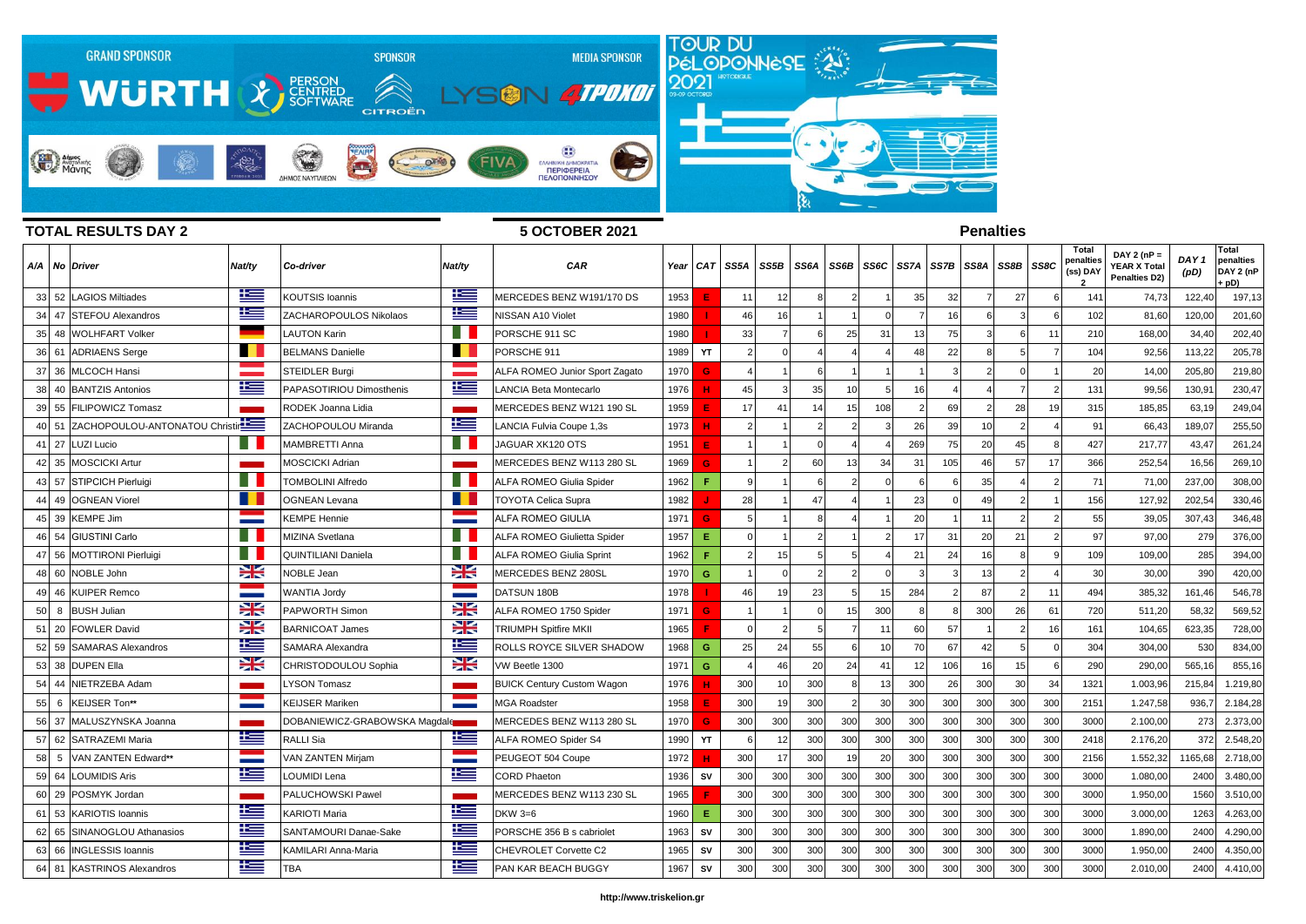

## **TOTAL RESULTS DAY 2 5 OCTOBER 2021 Penalties Τotal Τotal DAY 2 (nP = penalties**  *DAY 1*  **penalties**  A/A | No |Driver |Nat/ty |Co-driver |Nat/ty | CAR | Year | CAT | SS5A | SS5B | SS6A | SS6B | SS6C | SS7A | SS7B | SS8A | SS8B | SS8B | SS8B | SS8B | SS8B | SS8B | SS8B | SS8B | SS8B | SS8B | **YEAR X Total (ss) DAY**  .<br>DAY 2 *(*nP *(pD)* **Penalties D2) + pD)** 52 LAGIOS Miltiades KOUTSIS Ioannis MERCEDES BENZ W191/170 DS 1953 **E** 11 12 8 2 1 35 32 7 27 6 141 74,73 122,40 197,13 47 STEFOU Alexandros ZACHAROPOULOS Nikolaos NISSAN A10 Violet 1980 **I** 46 16 1 1 0 7 16 6 3 6 102 81,60 120,00 201,60 48 WOLHFART Volker LAUTON Karin PORSCHE 911 SC 1980 **I** 33 7 6 25 31 13 75 3 6 11 210 168,00 34,40 202,40 61 ADRIAENS Serge BELMANS Danielle PORSCHE 911 1989 **YT** 2 0 4 4 4 48 22 8 5 7 104 92,56 113,22 205,78 36 MLCOCH Hansi STEIDLER Burgi ALFA ROMEO Junior Sport Zagato 1970 **G** 4 1 6 1 1 1 3 2 0 1 20 14,00 205,80 219,80 38| 40 **|**BANTZIS Antonios | Note | PAPASOTIRIOU Dimosthenis | Note | LANCIA Beta Montecarlo | 1976 | **H** 45 3 35 10 5 16 4 4 7 2 131 99,56 130,91 230,47 55 FILIPOWICZ Tomasz RODEK Joanna Lidia MERCEDES BENZ W121 190 SL 1959 **E** 17 41 14 15 108 2 69 2 28 19 315 185,85 63,19 249,04 51 ZACHOPOULOU-ANTONATOU Christina ZACHOPOULOU Miranda LANCIA Fulvia Coupe 1,3s 1973 **H** 2 1 2 2 3 26 39 10 2 4 91 66,43 189,07 255,50 27 LUZI Lucio MAMBRETTI Anna JAGUAR XK120 OTS 1951 **E** 1 1 0 4 4 269 75 20 45 8 427 217,77 43,47 261,24 35 MOSCICKI Artur MOSCICKI Adrian MERCEDES BENZ W113 280 SL 1969 **G** 1 2 60 13 34 31 105 46 57 17 366 252,54 16,56 269,10 57 STIPCICH Pierluigi TOMBOLINI Alfredo ALFA ROMEO Giulia Spider 1962 **F** 9 1 6 2 0 6 6 35 4 2 71 71,00 237,00 308,00 49 OGNEAN Viorel OGNEAN Levana TOYOTA Celica Supra 1982 **J** 28 1 47 4 1 23 0 49 2 1 156 127,92 202,54 330,46 39 KEMPE Jim KEMPE Hennie ALFA ROMEO GIULIA 1971 **G** 5 1 8 4 1 20 1 11 2 2 55 39,05 307,43 346,48 54 GIUSTINI Carlo MIZINA Svetlana ALFA ROMEO Giulietta Spider 1957 **E** 0 1 2 1 2 17 31 20 21 2 97 97,00 279 376,00 56 MOTTIRONI Pierluigi QUINTILIANI Daniela ALFA ROMEO Giulia Sprint 1962 **F** 2 15 5 5 4 21 24 16 8 9 109 109,00 285 394,00 60 NOBLE John NOBLE Jean MERCEDES BENZ 280SL 1970 **G** 1 0 2 2 0 3 3 13 2 4 30 30,00 390 420,00 46 KUIPER Remco WANTIA Jordy DATSUN 180B 1978 **I** 46 19 23 5 15 284 2 87 2 11 494 385,32 161,46 546,78 8 BUSH Julian PAPWORTH Simon ALFA ROMEO 1750 Spider 1971 **G** 1 1 0 15 300 8 8 300 26 61 720 511,20 58,32 569,52 20 FOWLER David BARNICOAT James TRIUMPH Spitfire MKII 1965 **F** 0 2 5 7 11 60 57 1 2 16 161 104,65 623,35 728,00 52 59 SAMARAS Alexandros | SAMARA Alexandra | SAMARA Alexandra | SAMARA Alexandra | SAMARA SHADOW | 1968 | **G 25 24 51 0 10 70 67 42 5 0 304,00** 530 834,00 w 38 DUPEN Ella CHRISTODOULOU Sophia VW Beetle 1300 1971 **G** 4 46 20 24 41 12 106 16 15 6 290 290,00 565,16 855,16 44 NIETRZEBA Adam LYSON Tomasz BUICK Century Custom Wagon 1976 **H** 300 10 300 8 13 300 26 300 30 34 1321 1.003,96 215,84 1.219,80 6 KEIJSER Ton**\*\*** KEIJSER Mariken MGA Roadster 1958 **E** 300 19 300 2 30 300 300 300 300 300 2151 1.247,58 936,7 2.184,28 37 MALUSZYNSKA Joanna DOBANIEWICZ-GRABOWSKA Magdalena MERCEDES BENZ W113 280 SL 1970 **G** 300 300 300 300 300 300 300 300 300 300 3000 2.100,00 273 2.373,00 62 SATRAZEMI Maria RALLI Sia ALFA ROMEO Spider S4 1990 **YT** 6 12 300 300 300 300 300 300 300 300 2418 2.176,20 372 2.548,20 5 VAN ZANTEN Edward**\*\*** VAN ZANTEN Mirjam PEUGEOT 504 Coupe 1972 **H** 300 17 300 19 20 300 300 300 300 300 2156 1.552,32 1165,68 2.718,00 64 LOUMIDIS Aris LOUMIDI Lena CORD Phaeton 1936 **SV** 300 300 300 300 300 300 300 300 300 300 3000 1.080,00 2400 3.480,00 29 POSMYK Jordan PALUCHOWSKI Pawel MERCEDES BENZ W113 230 SL 1965 **F** 300 300 300 300 300 300 300 300 300 300 3000 1.950,00 1560 3.510,00 53 KARIOTIS Ioannis KARIOTI Maria DKW 3=6 1960 **E** 300 300 300 300 300 300 300 300 300 300 3000 3.000,00 1263 4.263,00 65 SINANOGLOU Athanasios SANTAMOURI Danae-Sake PORSCHE 356 B s cabriolet 1963 **SV** 300 300 300 300 300 300 300 300 300 300 3000 1.890,00 2400 4.290,00 66 INGLESSIS Ioannis KAMILARI Anna-Maria CHEVROLET Corvette C2 1965 **SV** 300 300 300 300 300 300 300 300 300 300 3000 1.950,00 2400 4.350,00

81 KASTRINOS Alexandros TBA PAN KAR BEACH BUGGY 1967 **SV** 300 300 300 300 300 300 300 300 300 300 3000 2.010,00 2400 4.410,00